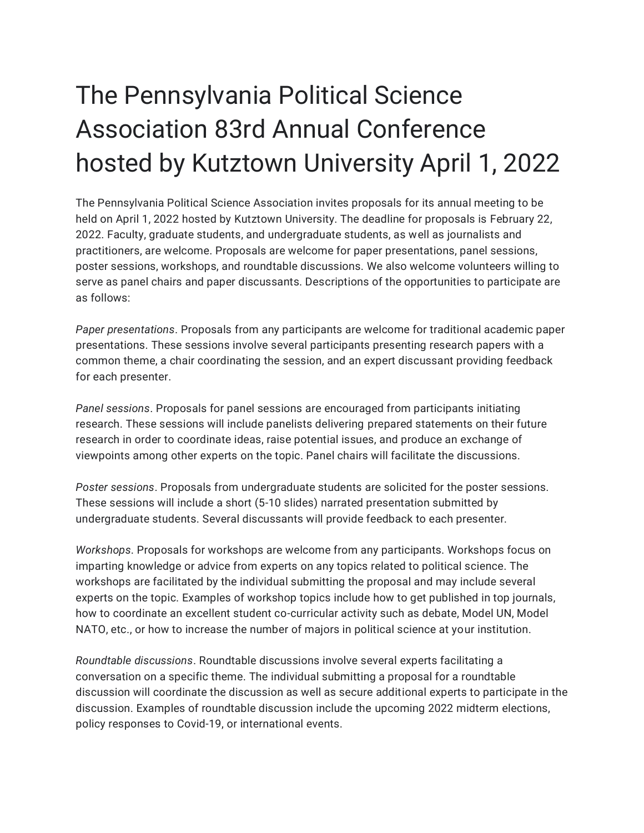## The Pennsylvania Political Science Association 83rd Annual Conference hosted by Kutztown University April 1, 2022

The Pennsylvania Political Science Association invites proposals for its annual meeting to be held on April 1, 2022 hosted by Kutztown University. The deadline for proposals is February 22, 2022. Faculty, graduate students, and undergraduate students, as well as journalists and practitioners, are welcome. Proposals are welcome for paper presentations, panel sessions, poster sessions, workshops, and roundtable discussions. We also welcome volunteers willing to serve as panel chairs and paper discussants. Descriptions of the opportunities to participate are as follows:

*Paper presentations*. Proposals from any participants are welcome for traditional academic paper presentations. These sessions involve several participants presenting research papers with a common theme, a chair coordinating the session, and an expert discussant providing feedback for each presenter.

*Panel sessions*. Proposals for panel sessions are encouraged from participants initiating research. These sessions will include panelists delivering prepared statements on their future research in order to coordinate ideas, raise potential issues, and produce an exchange of viewpoints among other experts on the topic. Panel chairs will facilitate the discussions.

*Poster sessions*. Proposals from undergraduate students are solicited for the poster sessions. These sessions will include a short (5-10 slides) narrated presentation submitted by undergraduate students. Several discussants will provide feedback to each presenter.

*Workshops*. Proposals for workshops are welcome from any participants. Workshops focus on imparting knowledge or advice from experts on any topics related to political science. The workshops are facilitated by the individual submitting the proposal and may include several experts on the topic. Examples of workshop topics include how to get published in top journals, how to coordinate an excellent student co-curricular activity such as debate, Model UN, Model NATO, etc., or how to increase the number of majors in political science at your institution.

*Roundtable discussions*. Roundtable discussions involve several experts facilitating a conversation on a specific theme. The individual submitting a proposal for a roundtable discussion will coordinate the discussion as well as secure additional experts to participate in the discussion. Examples of roundtable discussion include the upcoming 2022 midterm elections, policy responses to Covid-19, or international events.